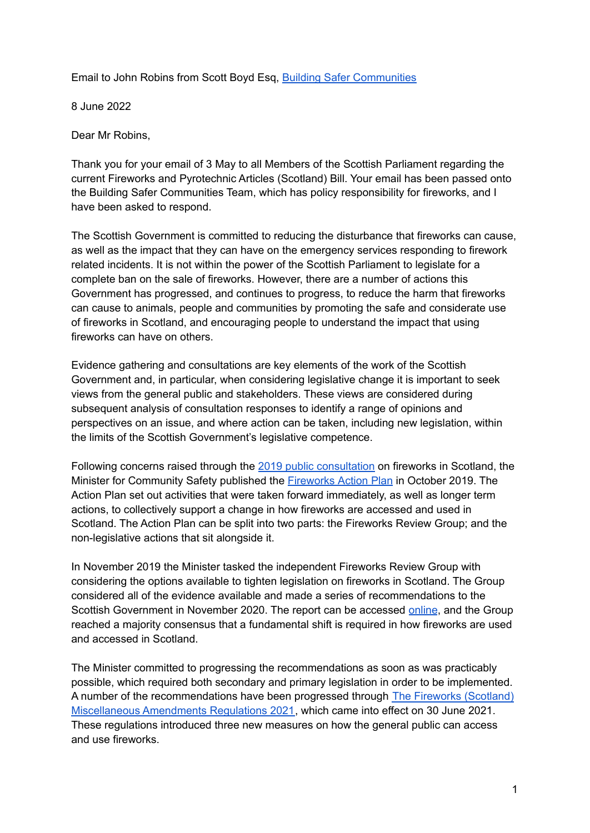Email to John Robins from Scott Boyd Esq, Building Safer [Communities](https://harmandinjuryhub.scot/)

8 June 2022

Dear Mr Robins,

Thank you for your email of 3 May to all Members of the Scottish Parliament regarding the current Fireworks and Pyrotechnic Articles (Scotland) Bill. Your email has been passed onto the Building Safer Communities Team, which has policy responsibility for fireworks, and I have been asked to respond.

The Scottish Government is committed to reducing the disturbance that fireworks can cause, as well as the impact that they can have on the emergency services responding to firework related incidents. It is not within the power of the Scottish Parliament to legislate for a complete ban on the sale of fireworks. However, there are a number of actions this Government has progressed, and continues to progress, to reduce the harm that fireworks can cause to animals, people and communities by promoting the safe and considerate use of fireworks in Scotland, and encouraging people to understand the impact that using fireworks can have on others.

Evidence gathering and consultations are key elements of the work of the Scottish Government and, in particular, when considering legislative change it is important to seek views from the general public and stakeholders. These views are considered during subsequent analysis of consultation responses to identify a range of opinions and perspectives on an issue, and where action can be taken, including new legislation, within the limits of the Scottish Government's legislative competence.

Following concerns raised through the 2019 public [consultation](https://consult.gov.scot/safer-communities/fireworks/) on fireworks in Scotland, the Minister for Community Safety published the **[Fireworks](https://www.gov.scot/publications/fireworks-action-plan-promoting-safe-appropriate-use-fireworks-scotland/) Action Plan** in October 2019. The Action Plan set out activities that were taken forward immediately, as well as longer term actions, to collectively support a change in how fireworks are accessed and used in Scotland. The Action Plan can be split into two parts: the Fireworks Review Group; and the non-legislative actions that sit alongside it.

In November 2019 the Minister tasked the independent Fireworks Review Group with considering the options available to tighten legislation on fireworks in Scotland. The Group considered all of the evidence available and made a series of recommendations to the Scottish Government in November 2020. The report can be accessed [online](https://www.gov.scot/publications/firework-review-group-report-scottish-government/pages/1/), and the Group reached a majority consensus that a fundamental shift is required in how fireworks are used and accessed in Scotland.

The Minister committed to progressing the recommendations as soon as was practicably possible, which required both secondary and primary legislation in order to be implemented. A number of the recommendations have been progressed through The Fireworks [\(Scotland\)](https://www.legislation.gov.uk/ssi/2021/79/contents/made) [Miscellaneous](https://www.legislation.gov.uk/ssi/2021/79/contents/made) Amendments Regulations 2021, which came into effect on 30 June 2021. These regulations introduced three new measures on how the general public can access and use fireworks.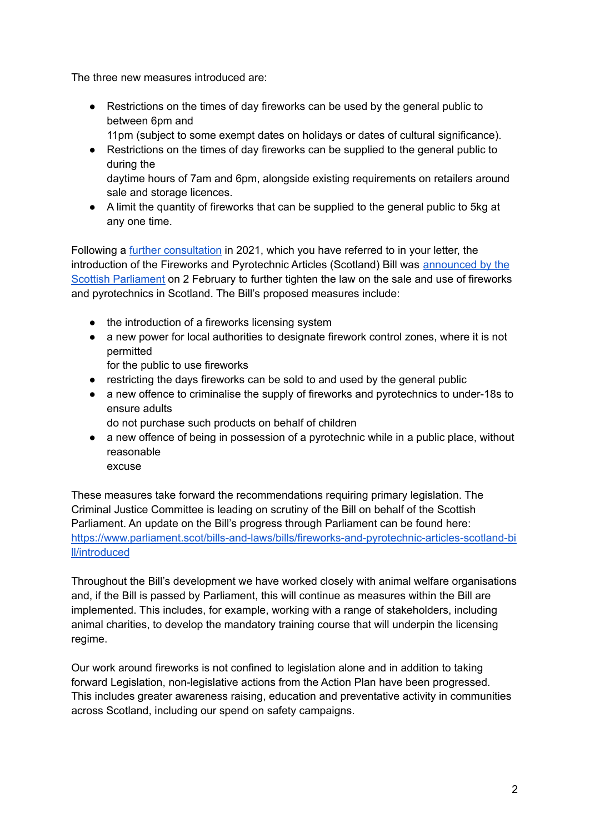The three new measures introduced are:

- Restrictions on the times of day fireworks can be used by the general public to between 6pm and
	- 11pm (subject to some exempt dates on holidays or dates of cultural significance).
- Restrictions on the times of day fireworks can be supplied to the general public to during the daytime hours of 7am and 6pm, alongside existing requirements on retailers around
- sale and storage licences. ● A limit the quantity of fireworks that can be supplied to the general public to 5kg at any one time.

Following a further [consultation](https://consult.gov.scot/justice/use-and-sale-of-fireworks-in-scotland/) in 2021, which you have referred to in your letter, the introduction of the Fireworks and Pyrotechnic Articles (Scotland) Bill was [announced](https://www.gov.scot/news/fireworks-and-pyrotechnic-bill-published/) by the Scottish [Parliament](https://www.gov.scot/news/fireworks-and-pyrotechnic-bill-published/) on 2 February to further tighten the law on the sale and use of fireworks and pyrotechnics in Scotland. The Bill's proposed measures include:

- the introduction of a fireworks licensing system
- a new power for local authorities to designate firework control zones, where it is not permitted
	- for the public to use fireworks
- restricting the days fireworks can be sold to and used by the general public
- a new offence to criminalise the supply of fireworks and pyrotechnics to under-18s to ensure adults
	- do not purchase such products on behalf of children
- a new offence of being in possession of a pyrotechnic while in a public place, without reasonable

excuse

These measures take forward the recommendations requiring primary legislation. The Criminal Justice Committee is leading on scrutiny of the Bill on behalf of the Scottish Parliament. An update on the Bill's progress through Parliament can be found here: [https://www.parliament.scot/bills-and-laws/bills/fireworks-and-pyrotechnic-articles-scotland-bi](https://www.parliament.scot/bills-and-laws/bills/fireworks-and-pyrotechnic-articles-scotland-bill/introduced) [ll/introduced](https://www.parliament.scot/bills-and-laws/bills/fireworks-and-pyrotechnic-articles-scotland-bill/introduced)

Throughout the Bill's development we have worked closely with animal welfare organisations and, if the Bill is passed by Parliament, this will continue as measures within the Bill are implemented. This includes, for example, working with a range of stakeholders, including animal charities, to develop the mandatory training course that will underpin the licensing regime.

Our work around fireworks is not confined to legislation alone and in addition to taking forward Legislation, non-legislative actions from the Action Plan have been progressed. This includes greater awareness raising, education and preventative activity in communities across Scotland, including our spend on safety campaigns.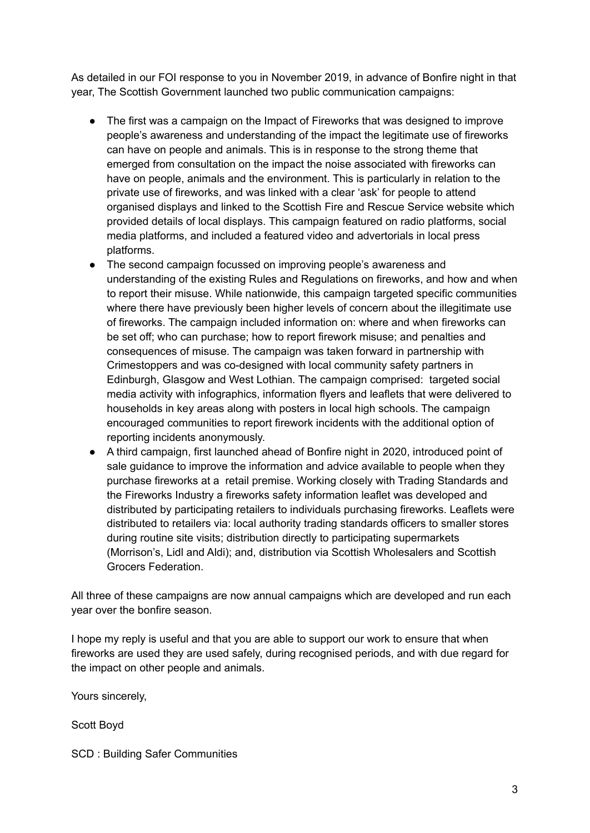As detailed in our FOI response to you in November 2019, in advance of Bonfire night in that year, The Scottish Government launched two public communication campaigns:

- The first was a campaign on the Impact of Fireworks that was designed to improve people's awareness and understanding of the impact the legitimate use of fireworks can have on people and animals. This is in response to the strong theme that emerged from consultation on the impact the noise associated with fireworks can have on people, animals and the environment. This is particularly in relation to the private use of fireworks, and was linked with a clear 'ask' for people to attend organised displays and linked to the Scottish Fire and Rescue Service website which provided details of local displays. This campaign featured on radio platforms, social media platforms, and included a featured video and advertorials in local press platforms.
- The second campaign focussed on improving people's awareness and understanding of the existing Rules and Regulations on fireworks, and how and when to report their misuse. While nationwide, this campaign targeted specific communities where there have previously been higher levels of concern about the illegitimate use of fireworks. The campaign included information on: where and when fireworks can be set off; who can purchase; how to report firework misuse; and penalties and consequences of misuse. The campaign was taken forward in partnership with Crimestoppers and was co-designed with local community safety partners in Edinburgh, Glasgow and West Lothian. The campaign comprised: targeted social media activity with infographics, information flyers and leaflets that were delivered to households in key areas along with posters in local high schools. The campaign encouraged communities to report firework incidents with the additional option of reporting incidents anonymously.
- A third campaign, first launched ahead of Bonfire night in 2020, introduced point of sale guidance to improve the information and advice available to people when they purchase fireworks at a retail premise. Working closely with Trading Standards and the Fireworks Industry a fireworks safety information leaflet was developed and distributed by participating retailers to individuals purchasing fireworks. Leaflets were distributed to retailers via: local authority trading standards officers to smaller stores during routine site visits; distribution directly to participating supermarkets (Morrison's, Lidl and Aldi); and, distribution via Scottish Wholesalers and Scottish Grocers Federation.

All three of these campaigns are now annual campaigns which are developed and run each year over the bonfire season.

I hope my reply is useful and that you are able to support our work to ensure that when fireworks are used they are used safely, during recognised periods, and with due regard for the impact on other people and animals.

Yours sincerely,

Scott Boyd

SCD : Building Safer Communities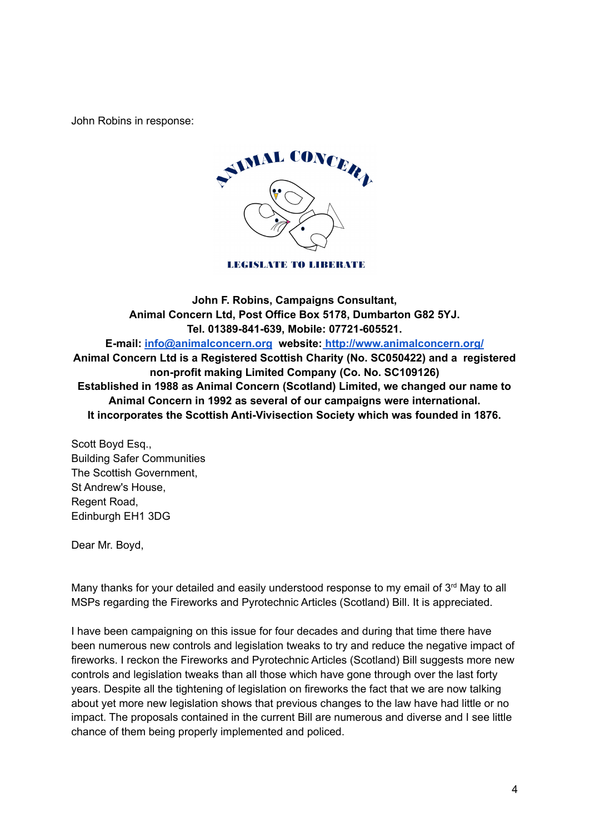John Robins in response:



**LEGISLATE TO LIBERATE** 

**John F. Robins, Campaigns Consultant, Animal Concern Ltd, Post Office Box 5178, Dumbarton G82 5YJ. Tel. 01389-841-639, Mobile: 07721-605521. E-mail: [info@animalconcern.org](mailto:info@animalconcern.org) website: <http://www.animalconcern.org/> Animal Concern Ltd is a Registered Scottish Charity (No. SC050422) and a registered non-profit making Limited Company (Co. No. SC109126) Established in 1988 as Animal Concern (Scotland) Limited, we changed our name to Animal Concern in 1992 as several of our campaigns were international. It incorporates the Scottish Anti-Vivisection Society which was founded in 1876.**

Scott Boyd Esq., Building Safer Communities The Scottish Government, St Andrew's House, Regent Road, Edinburgh EH1 3DG

Dear Mr. Boyd,

Many thanks for your detailed and easily understood response to my email of  $3<sup>rd</sup>$  May to all MSPs regarding the Fireworks and Pyrotechnic Articles (Scotland) Bill. It is appreciated.

I have been campaigning on this issue for four decades and during that time there have been numerous new controls and legislation tweaks to try and reduce the negative impact of fireworks. I reckon the Fireworks and Pyrotechnic Articles (Scotland) Bill suggests more new controls and legislation tweaks than all those which have gone through over the last forty years. Despite all the tightening of legislation on fireworks the fact that we are now talking about yet more new legislation shows that previous changes to the law have had little or no impact. The proposals contained in the current Bill are numerous and diverse and I see little chance of them being properly implemented and policed.